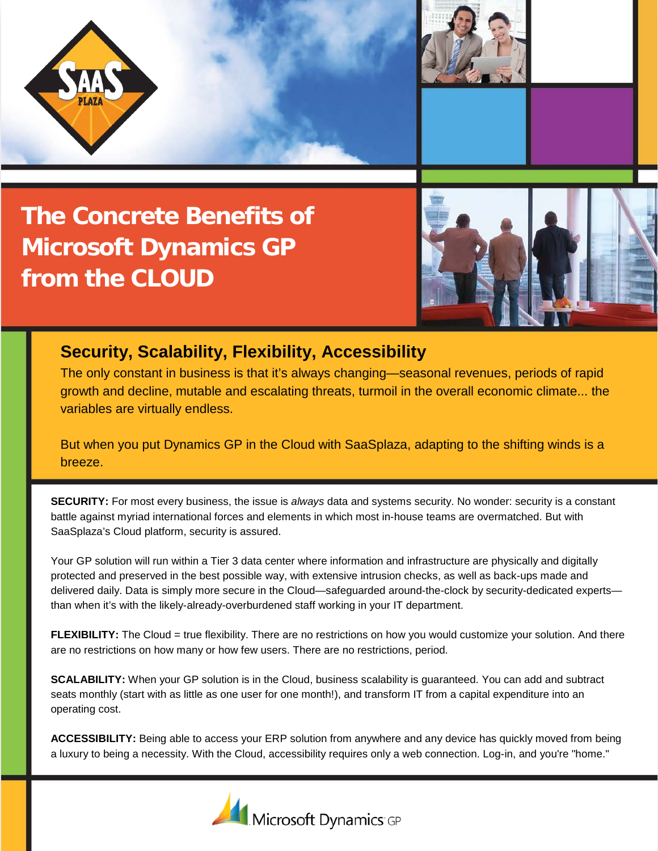

**The Concrete Benefits of Microsoft Dynamics GP from the CLOUD**



## **Security, Scalability, Flexibility, Accessibility**

The only constant in business is that it's always changing—seasonal revenues, periods of rapid growth and decline, mutable and escalating threats, turmoil in the overall economic climate... the variables are virtually endless.

But when you put Dynamics GP in the Cloud with SaaSplaza, adapting to the shifting winds is a breeze.

**SECURITY:** For most every business, the issue is *always* data and systems security. No wonder: security is a constant battle against myriad international forces and elements in which most in-house teams are overmatched. But with SaaSplaza's Cloud platform, security is assured.

Your GP solution will run within a Tier 3 data center where information and infrastructure are physically and digitally protected and preserved in the best possible way, with extensive intrusion checks, as well as back-ups made and delivered daily. Data is simply more secure in the Cloud—safeguarded around-the-clock by security-dedicated experts than when it's with the likely-already-overburdened staff working in your IT department.

**FLEXIBILITY:** The Cloud = true flexibility. There are no restrictions on how you would customize your solution. And there are no restrictions on how many or how few users. There are no restrictions, period.

**SCALABILITY:** When your GP solution is in the Cloud, business scalability is guaranteed. You can add and subtract seats monthly (start with as little as one user for one month!), and transform IT from a capital expenditure into an operating cost.

**ACCESSIBILITY:** Being able to access your ERP solution from anywhere and any device has quickly moved from being a luxury to being a necessity. With the Cloud, accessibility requires only a web connection. Log-in, and you're "home."